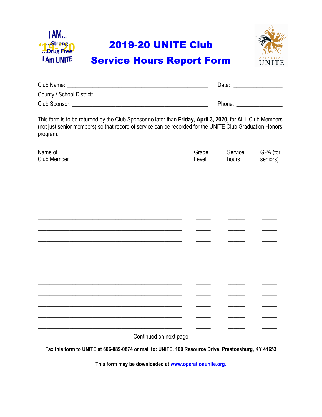

## **2019-20 UNITE Club**



## **Service Hours Report Form**

| Club Name:                | Date:  |
|---------------------------|--------|
| County / School District: |        |
| Club Sponsor:             | Phone: |

This form is to be returned by the Club Sponsor no later than Friday, April 3, 2020, for ALL Club Members (not just senior members) so that record of service can be recorded for the UNITE Club Graduation Honors program.

| Name of<br>Club Member | Grade<br>Level | Service<br>hours | GPA (for<br>seniors) |
|------------------------|----------------|------------------|----------------------|
|                        |                |                  |                      |
|                        |                |                  |                      |
|                        |                |                  |                      |
|                        |                |                  |                      |
|                        |                |                  |                      |
|                        |                |                  |                      |
|                        |                |                  |                      |
|                        |                |                  |                      |
|                        |                |                  |                      |
|                        |                |                  |                      |
|                        |                |                  |                      |
|                        |                |                  |                      |
|                        |                |                  |                      |
|                        |                |                  |                      |

Continued on next page

Fax this form to UNITE at 606-889-0874 or mail to: UNITE, 100 Resource Drive, Prestonsburg, KY 41653

This form may be downloaded at www.operationunite.org.